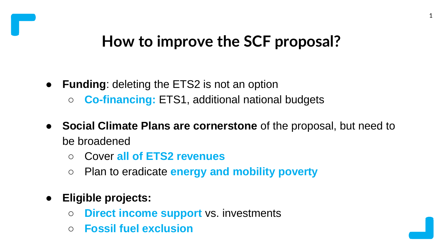# **How to improve the SCF proposal?**

- **Funding: deleting the ETS2 is not an option** 
	- **Co-financing:** ETS1, additional national budgets
- **Social Climate Plans are cornerstone** of the proposal, but need to be broadened
	- Cover **all of ETS2 revenues**
	- Plan to eradicate **energy and mobility poverty**
- **Eligible projects:** 
	- **Direct income support** vs. investments
	- **Fossil fuel exclusion**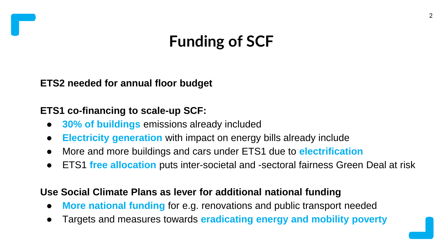## **Funding of SCF**

**ETS2 needed for annual floor budget**

**ETS1 co-financing to scale-up SCF:** 

- **30% of buildings** emissions already included
- **Electricity generation** with impact on energy bills already include
- More and more buildings and cars under ETS1 due to **electrification**
- ETS1 **free allocation** puts inter-societal and -sectoral fairness Green Deal at risk

### **Use Social Climate Plans as lever for additional national funding**

- **More national funding** for e.g. renovations and public transport needed
- Targets and measures towards **eradicating energy and mobility poverty**